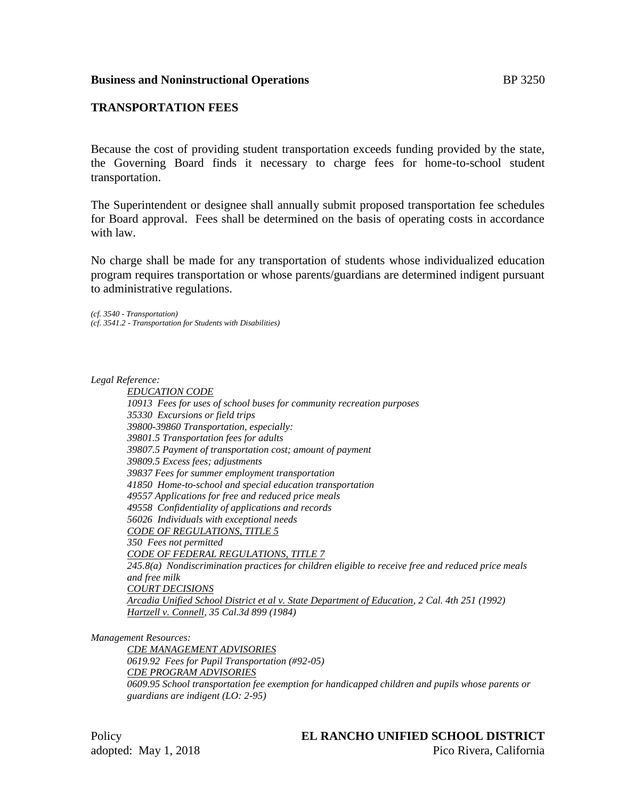# **TRANSPORTATION FEES**

Because the cost of providing student transportation exceeds funding provided by the state, the Governing Board finds it necessary to charge fees for home-to-school student transportation.

The Superintendent or designee shall annually submit proposed transportation fee schedules for Board approval. Fees shall be determined on the basis of operating costs in accordance with law.

No charge shall be made for any transportation of students whose individualized education program requires transportation or whose parents/guardians are determined indigent pursuant to administrative regulations.

*(cf. 3540 - Transportation) (cf. 3541.2 - Transportation for Students with Disabilities)*

*Legal Reference:*

*EDUCATION CODE 10913 Fees for uses of school buses for community recreation purposes 35330 Excursions or field trips 39800-39860 Transportation, especially: 39801.5 Transportation fees for adults 39807.5 Payment of transportation cost; amount of payment 39809.5 Excess fees; adjustments 39837 Fees for summer employment transportation 41850 Home-to-school and special education transportation 49557 Applications for free and reduced price meals 49558 Confidentiality of applications and records 56026 Individuals with exceptional needs CODE OF REGULATIONS, TITLE 5 350 Fees not permitted CODE OF FEDERAL REGULATIONS, TITLE 7 245.8(a) Nondiscrimination practices for children eligible to receive free and reduced price meals and free milk COURT DECISIONS Arcadia Unified School District et al v. State Department of Education, 2 Cal. 4th 251 (1992) Hartzell v. Connell, 35 Cal.3d 899 (1984)*

*Management Resources:*

*CDE MANAGEMENT ADVISORIES 0619.92 Fees for Pupil Transportation (#92-05) CDE PROGRAM ADVISORIES 0609.95 School transportation fee exemption for handicapped children and pupils whose parents or guardians are indigent (LO: 2-95)*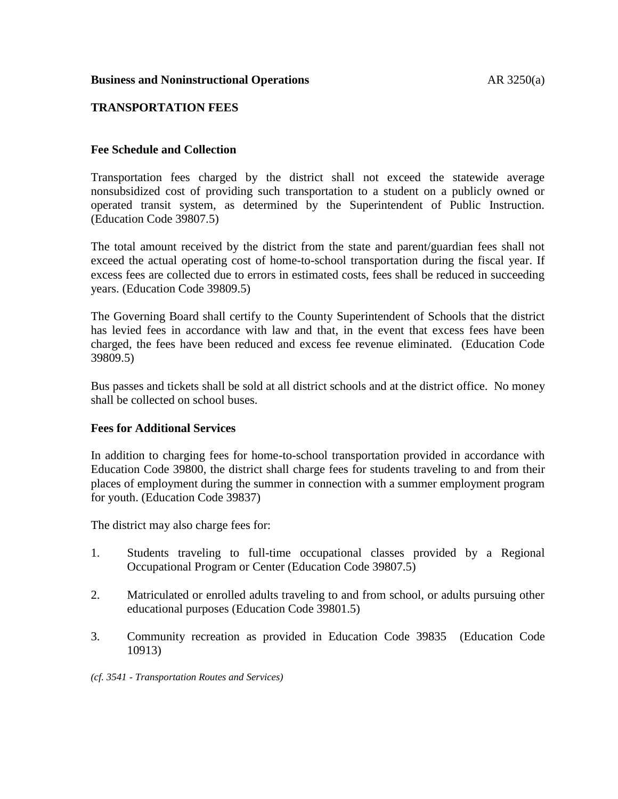### **Business and Noninstructional Operations AR 3250(a)**

## **TRANSPORTATION FEES**

### **Fee Schedule and Collection**

Transportation fees charged by the district shall not exceed the statewide average nonsubsidized cost of providing such transportation to a student on a publicly owned or operated transit system, as determined by the Superintendent of Public Instruction. (Education Code 39807.5)

The total amount received by the district from the state and parent/guardian fees shall not exceed the actual operating cost of home-to-school transportation during the fiscal year. If excess fees are collected due to errors in estimated costs, fees shall be reduced in succeeding years. (Education Code 39809.5)

The Governing Board shall certify to the County Superintendent of Schools that the district has levied fees in accordance with law and that, in the event that excess fees have been charged, the fees have been reduced and excess fee revenue eliminated. (Education Code 39809.5)

Bus passes and tickets shall be sold at all district schools and at the district office. No money shall be collected on school buses.

#### **Fees for Additional Services**

In addition to charging fees for home-to-school transportation provided in accordance with Education Code 39800, the district shall charge fees for students traveling to and from their places of employment during the summer in connection with a summer employment program for youth. (Education Code 39837)

The district may also charge fees for:

- 1. Students traveling to full-time occupational classes provided by a Regional Occupational Program or Center (Education Code 39807.5)
- 2. Matriculated or enrolled adults traveling to and from school, or adults pursuing other educational purposes (Education Code 39801.5)
- 3. Community recreation as provided in Education Code 39835 (Education Code 10913)
- *(cf. 3541 - Transportation Routes and Services)*